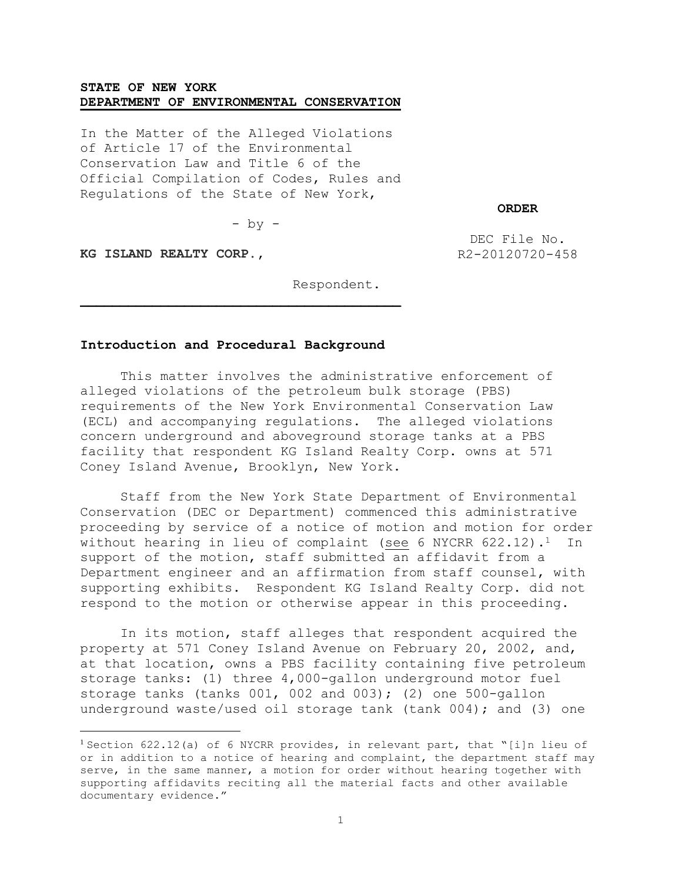## **STATE OF NEW YORK DEPARTMENT OF ENVIRONMENTAL CONSERVATION**

In the Matter of the Alleged Violations of Article 17 of the Environmental Conservation Law and Title 6 of the Official Compilation of Codes, Rules and Regulations of the State of New York,

**ORDER**

 $-$  by  $-$ 

**KG ISLAND REALTY CORP.,**

 $\overline{a}$ 

DEC File No. R2-20120720-458

Respondent.

## **Introduction and Procedural Background**

This matter involves the administrative enforcement of alleged violations of the petroleum bulk storage (PBS) requirements of the New York Environmental Conservation Law (ECL) and accompanying regulations. The alleged violations concern underground and aboveground storage tanks at a PBS facility that respondent KG Island Realty Corp. owns at 571 Coney Island Avenue, Brooklyn, New York.

Staff from the New York State Department of Environmental Conservation (DEC or Department) commenced this administrative proceeding by service of a notice of motion and motion for order without hearing in lieu of complaint (see 6 NYCRR  $622.12$ ).<sup>1</sup> In support of the motion, staff submitted an affidavit from a Department engineer and an affirmation from staff counsel, with supporting exhibits. Respondent KG Island Realty Corp. did not respond to the motion or otherwise appear in this proceeding.

In its motion, staff alleges that respondent acquired the property at 571 Coney Island Avenue on February 20, 2002, and, at that location, owns a PBS facility containing five petroleum storage tanks: (1) three 4,000-gallon underground motor fuel storage tanks (tanks  $001, 002$  and  $003$ ); (2) one 500-gallon underground waste/used oil storage tank (tank 004); and (3) one

<sup>&</sup>lt;sup>1</sup> Section 622.12(a) of 6 NYCRR provides, in relevant part, that "[i]n lieu of or in addition to a notice of hearing and complaint, the department staff may serve, in the same manner, a motion for order without hearing together with supporting affidavits reciting all the material facts and other available documentary evidence."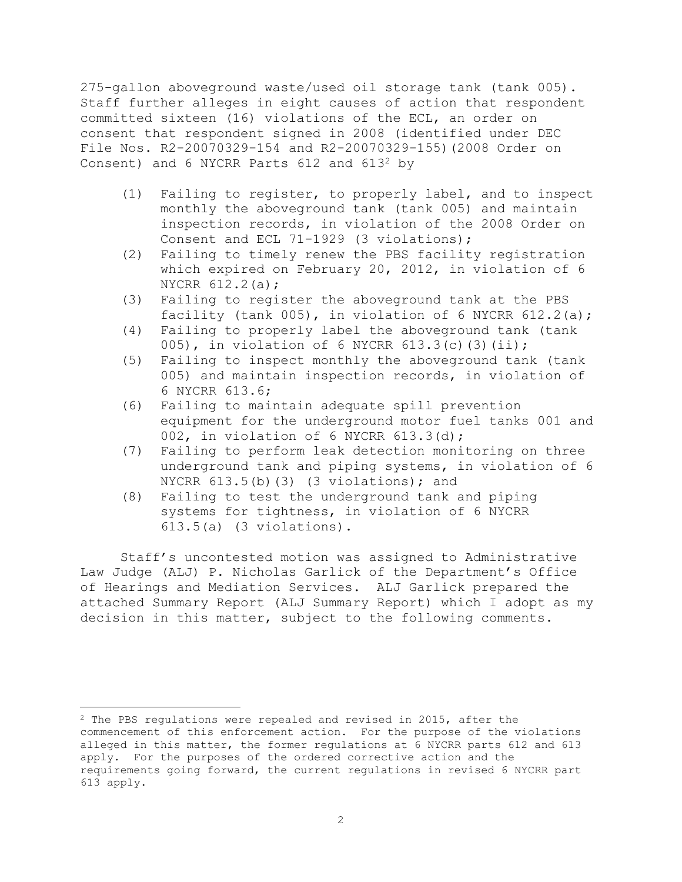275-gallon aboveground waste/used oil storage tank (tank 005). Staff further alleges in eight causes of action that respondent committed sixteen (16) violations of the ECL, an order on consent that respondent signed in 2008 (identified under DEC File Nos. R2-20070329-154 and R2-20070329-155)(2008 Order on Consent) and 6 NYCRR Parts 612 and 613<sup>2</sup> by

- (1) Failing to register, to properly label, and to inspect monthly the aboveground tank (tank 005) and maintain inspection records, in violation of the 2008 Order on Consent and ECL 71-1929 (3 violations);
- (2) Failing to timely renew the PBS facility registration which expired on February 20, 2012, in violation of 6 NYCRR 612.2(a);
- (3) Failing to register the aboveground tank at the PBS facility (tank 005), in violation of 6 NYCRR  $612.2(a)$ ;
- (4) Failing to properly label the aboveground tank (tank 005), in violation of 6 NYCRR 613.3(c)(3)(ii);
- (5) Failing to inspect monthly the aboveground tank (tank 005) and maintain inspection records, in violation of 6 NYCRR 613.6;
- (6) Failing to maintain adequate spill prevention equipment for the underground motor fuel tanks 001 and 002, in violation of 6 NYCRR 613.3(d);
- (7) Failing to perform leak detection monitoring on three underground tank and piping systems, in violation of 6 NYCRR  $613.5(b)$  (3) (3 violations); and
- (8) Failing to test the underground tank and piping systems for tightness, in violation of 6 NYCRR 613.5(a) (3 violations).

Staff's uncontested motion was assigned to Administrative Law Judge (ALJ) P. Nicholas Garlick of the Department's Office of Hearings and Mediation Services. ALJ Garlick prepared the attached Summary Report (ALJ Summary Report) which I adopt as my decision in this matter, subject to the following comments.

<sup>2</sup> The PBS regulations were repealed and revised in 2015, after the commencement of this enforcement action. For the purpose of the violations alleged in this matter, the former regulations at 6 NYCRR parts 612 and 613 apply. For the purposes of the ordered corrective action and the requirements going forward, the current regulations in revised 6 NYCRR part 613 apply.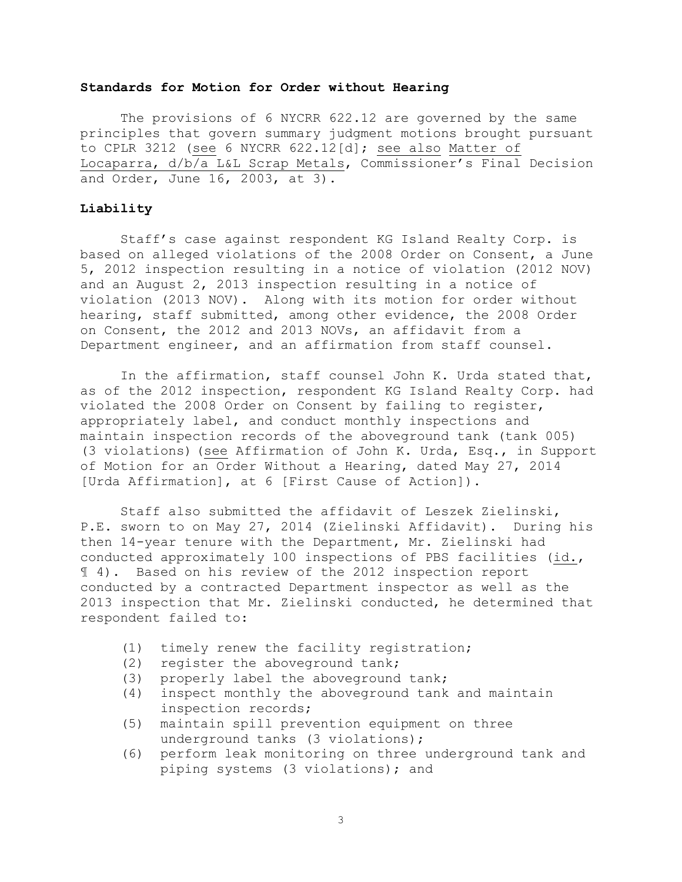## **Standards for Motion for Order without Hearing**

The provisions of 6 NYCRR 622.12 are governed by the same principles that govern summary judgment motions brought pursuant to CPLR 3212 (see 6 NYCRR 622.12[d]; see also Matter of Locaparra, d/b/a L&L Scrap Metals, Commissioner's Final Decision and Order, June 16, 2003, at 3).

## **Liability**

Staff's case against respondent KG Island Realty Corp. is based on alleged violations of the 2008 Order on Consent, a June 5, 2012 inspection resulting in a notice of violation (2012 NOV) and an August 2, 2013 inspection resulting in a notice of violation (2013 NOV). Along with its motion for order without hearing, staff submitted, among other evidence, the 2008 Order on Consent, the 2012 and 2013 NOVs, an affidavit from a Department engineer, and an affirmation from staff counsel.

In the affirmation, staff counsel John K. Urda stated that, as of the 2012 inspection, respondent KG Island Realty Corp. had violated the 2008 Order on Consent by failing to register, appropriately label, and conduct monthly inspections and maintain inspection records of the aboveground tank (tank 005) (3 violations) (see Affirmation of John K. Urda, Esq., in Support of Motion for an Order Without a Hearing, dated May 27, 2014 [Urda Affirmation], at 6 [First Cause of Action]).

Staff also submitted the affidavit of Leszek Zielinski, P.E. sworn to on May 27, 2014 (Zielinski Affidavit). During his then 14-year tenure with the Department, Mr. Zielinski had conducted approximately 100 inspections of PBS facilities (id., ¶ 4). Based on his review of the 2012 inspection report conducted by a contracted Department inspector as well as the 2013 inspection that Mr. Zielinski conducted, he determined that respondent failed to:

- (1) timely renew the facility registration;
- (2) register the aboveground tank;
- (3) properly label the aboveground tank;
- (4) inspect monthly the aboveground tank and maintain inspection records;
- (5) maintain spill prevention equipment on three underground tanks (3 violations);
- (6) perform leak monitoring on three underground tank and piping systems (3 violations); and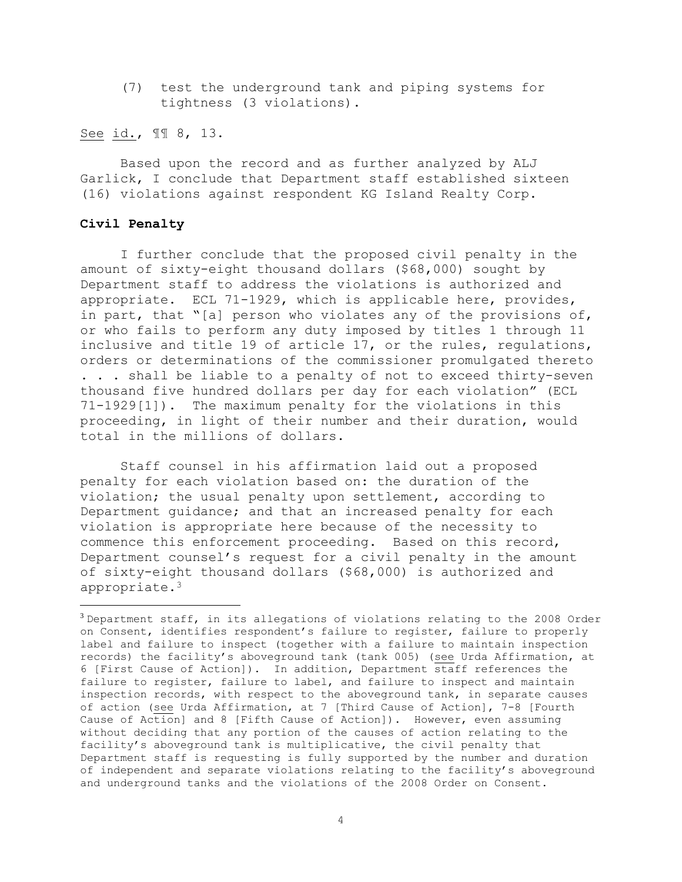(7) test the underground tank and piping systems for tightness (3 violations).

See id., ¶¶ 8, 13.

Based upon the record and as further analyzed by ALJ Garlick, I conclude that Department staff established sixteen (16) violations against respondent KG Island Realty Corp.

## **Civil Penalty**

 $\overline{a}$ 

I further conclude that the proposed civil penalty in the amount of sixty-eight thousand dollars (\$68,000) sought by Department staff to address the violations is authorized and appropriate. ECL 71-1929, which is applicable here, provides, in part, that "[a] person who violates any of the provisions of, or who fails to perform any duty imposed by titles 1 through 11 inclusive and title 19 of article 17, or the rules, regulations, orders or determinations of the commissioner promulgated thereto . . . shall be liable to a penalty of not to exceed thirty-seven thousand five hundred dollars per day for each violation" (ECL 71-1929[1]). The maximum penalty for the violations in this proceeding, in light of their number and their duration, would total in the millions of dollars.

Staff counsel in his affirmation laid out a proposed penalty for each violation based on: the duration of the violation; the usual penalty upon settlement, according to Department guidance; and that an increased penalty for each violation is appropriate here because of the necessity to commence this enforcement proceeding. Based on this record, Department counsel's request for a civil penalty in the amount of sixty-eight thousand dollars (\$68,000) is authorized and appropriate.<sup>3</sup>

<sup>3</sup> Department staff, in its allegations of violations relating to the 2008 Order on Consent, identifies respondent's failure to register, failure to properly label and failure to inspect (together with a failure to maintain inspection records) the facility's aboveground tank (tank 005) (see Urda Affirmation, at 6 [First Cause of Action]). In addition, Department staff references the failure to register, failure to label, and failure to inspect and maintain inspection records, with respect to the aboveground tank, in separate causes of action (see Urda Affirmation, at 7 [Third Cause of Action], 7-8 [Fourth Cause of Action] and 8 [Fifth Cause of Action]). However, even assuming without deciding that any portion of the causes of action relating to the facility's aboveground tank is multiplicative, the civil penalty that Department staff is requesting is fully supported by the number and duration of independent and separate violations relating to the facility's aboveground and underground tanks and the violations of the 2008 Order on Consent.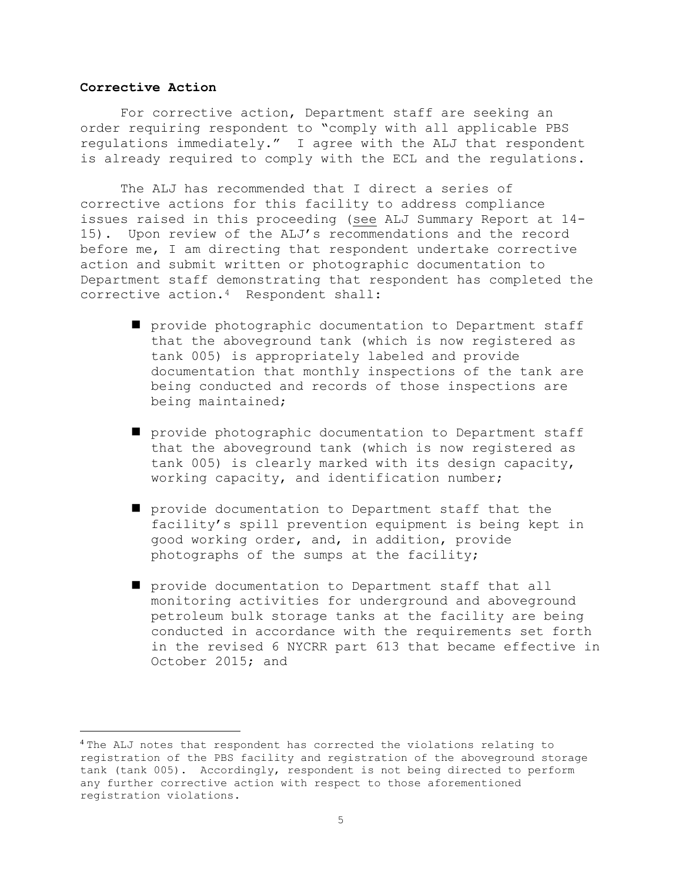#### **Corrective Action**

 $\overline{a}$ 

For corrective action, Department staff are seeking an order requiring respondent to "comply with all applicable PBS regulations immediately." I agree with the ALJ that respondent is already required to comply with the ECL and the regulations.

The ALJ has recommended that I direct a series of corrective actions for this facility to address compliance issues raised in this proceeding (see ALJ Summary Report at 14- 15). Upon review of the ALJ's recommendations and the record before me, I am directing that respondent undertake corrective action and submit written or photographic documentation to Department staff demonstrating that respondent has completed the corrective action.4 Respondent shall:

- provide photographic documentation to Department staff that the aboveground tank (which is now registered as tank 005) is appropriately labeled and provide documentation that monthly inspections of the tank are being conducted and records of those inspections are being maintained;
- provide photographic documentation to Department staff that the aboveground tank (which is now registered as tank 005) is clearly marked with its design capacity, working capacity, and identification number;
- provide documentation to Department staff that the facility's spill prevention equipment is being kept in good working order, and, in addition, provide photographs of the sumps at the facility;
- provide documentation to Department staff that all monitoring activities for underground and aboveground petroleum bulk storage tanks at the facility are being conducted in accordance with the requirements set forth in the revised 6 NYCRR part 613 that became effective in October 2015; and

<sup>4</sup> The ALJ notes that respondent has corrected the violations relating to registration of the PBS facility and registration of the aboveground storage tank (tank 005). Accordingly, respondent is not being directed to perform any further corrective action with respect to those aforementioned registration violations.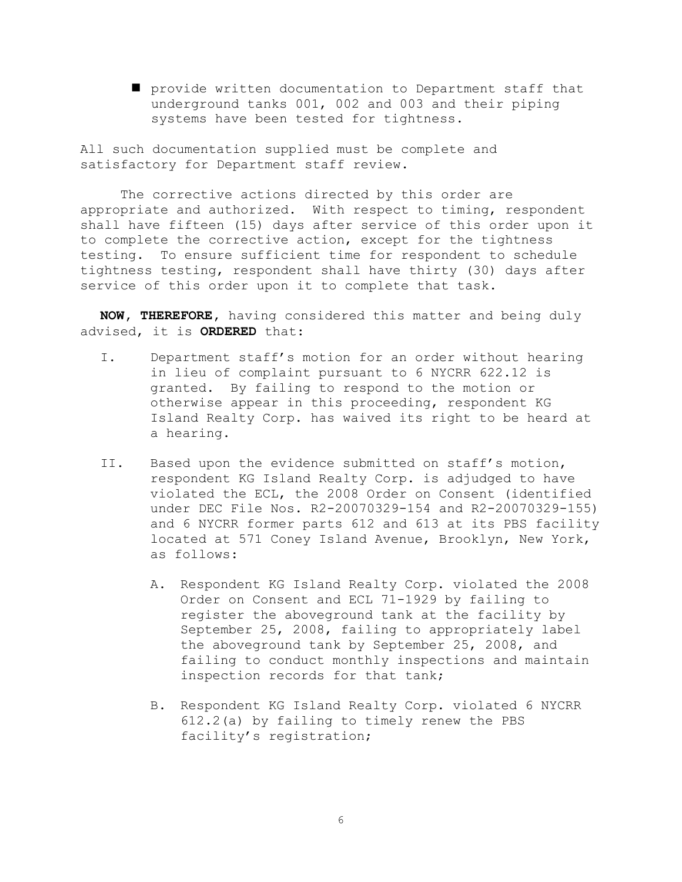provide written documentation to Department staff that underground tanks 001, 002 and 003 and their piping systems have been tested for tightness.

All such documentation supplied must be complete and satisfactory for Department staff review.

The corrective actions directed by this order are appropriate and authorized. With respect to timing, respondent shall have fifteen (15) days after service of this order upon it to complete the corrective action, except for the tightness testing. To ensure sufficient time for respondent to schedule tightness testing, respondent shall have thirty (30) days after service of this order upon it to complete that task.

**NOW, THEREFORE,** having considered this matter and being duly advised, it is **ORDERED** that:

- I. Department staff's motion for an order without hearing in lieu of complaint pursuant to 6 NYCRR 622.12 is granted. By failing to respond to the motion or otherwise appear in this proceeding, respondent KG Island Realty Corp. has waived its right to be heard at a hearing.
- II. Based upon the evidence submitted on staff's motion, respondent KG Island Realty Corp. is adjudged to have violated the ECL, the 2008 Order on Consent (identified under DEC File Nos. R2-20070329-154 and R2-20070329-155) and 6 NYCRR former parts 612 and 613 at its PBS facility located at 571 Coney Island Avenue, Brooklyn, New York, as follows:
	- A. Respondent KG Island Realty Corp. violated the 2008 Order on Consent and ECL 71-1929 by failing to register the aboveground tank at the facility by September 25, 2008, failing to appropriately label the aboveground tank by September 25, 2008, and failing to conduct monthly inspections and maintain inspection records for that tank;
	- B. Respondent KG Island Realty Corp. violated 6 NYCRR 612.2(a) by failing to timely renew the PBS facility's registration;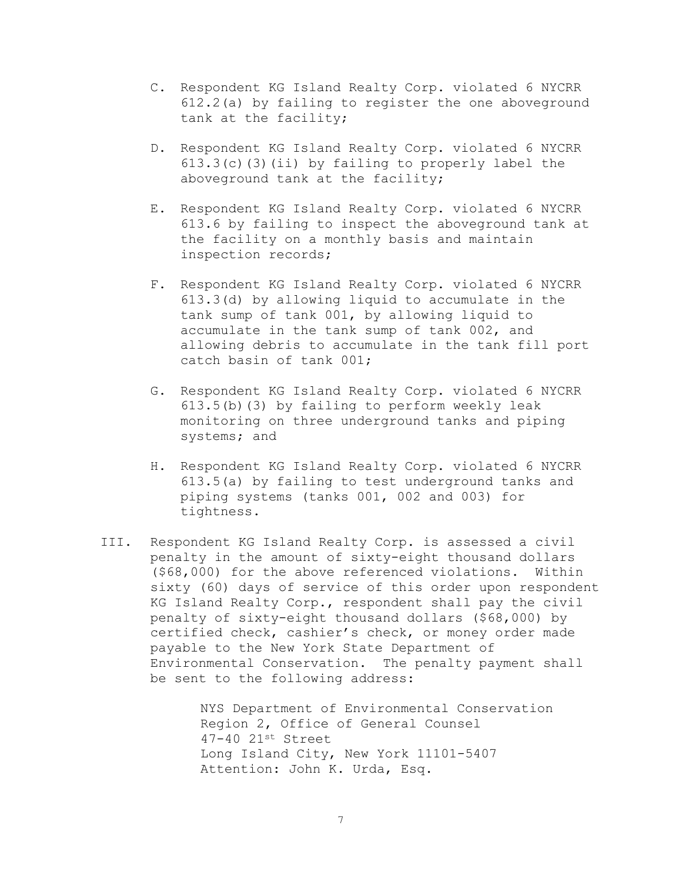- C. Respondent KG Island Realty Corp. violated 6 NYCRR 612.2(a) by failing to register the one aboveground tank at the facility;
- D. Respondent KG Island Realty Corp. violated 6 NYCRR  $613.3(c)$  (3)(ii) by failing to properly label the aboveground tank at the facility;
- E. Respondent KG Island Realty Corp. violated 6 NYCRR 613.6 by failing to inspect the aboveground tank at the facility on a monthly basis and maintain inspection records;
- F. Respondent KG Island Realty Corp. violated 6 NYCRR 613.3(d) by allowing liquid to accumulate in the tank sump of tank 001, by allowing liquid to accumulate in the tank sump of tank 002, and allowing debris to accumulate in the tank fill port catch basin of tank 001;
- G. Respondent KG Island Realty Corp. violated 6 NYCRR 613.5(b)(3) by failing to perform weekly leak monitoring on three underground tanks and piping systems; and
- H. Respondent KG Island Realty Corp. violated 6 NYCRR 613.5(a) by failing to test underground tanks and piping systems (tanks 001, 002 and 003) for tightness.
- III. Respondent KG Island Realty Corp. is assessed a civil penalty in the amount of sixty-eight thousand dollars (\$68,000) for the above referenced violations. Within sixty (60) days of service of this order upon respondent KG Island Realty Corp., respondent shall pay the civil penalty of sixty-eight thousand dollars (\$68,000) by certified check, cashier's check, or money order made payable to the New York State Department of Environmental Conservation. The penalty payment shall be sent to the following address:

NYS Department of Environmental Conservation Region 2, Office of General Counsel 47-40 21st Street Long Island City, New York 11101-5407 Attention: John K. Urda, Esq.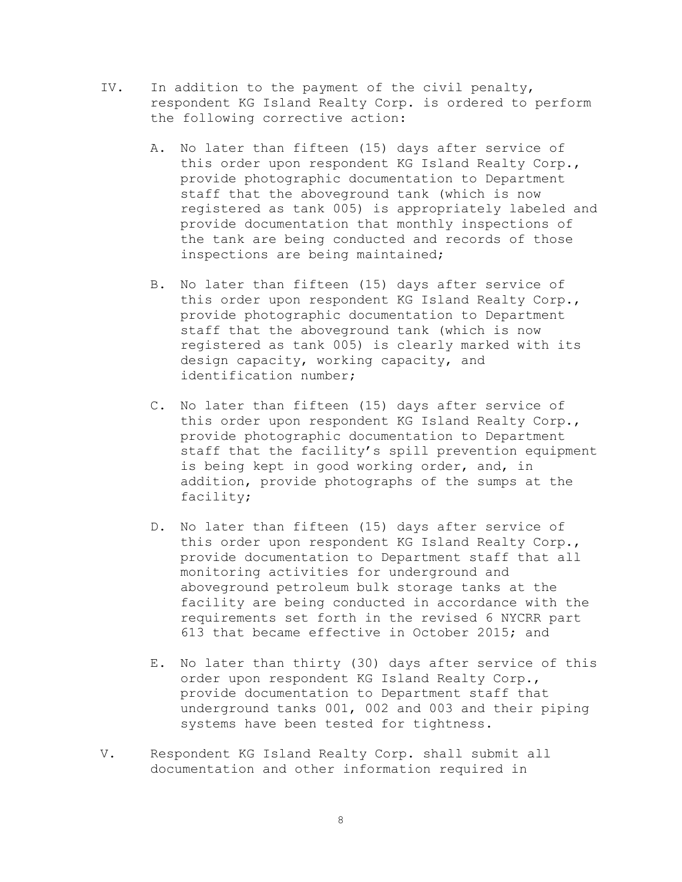- IV. In addition to the payment of the civil penalty, respondent KG Island Realty Corp. is ordered to perform the following corrective action:
	- A. No later than fifteen (15) days after service of this order upon respondent KG Island Realty Corp., provide photographic documentation to Department staff that the aboveground tank (which is now registered as tank 005) is appropriately labeled and provide documentation that monthly inspections of the tank are being conducted and records of those inspections are being maintained;
	- B. No later than fifteen (15) days after service of this order upon respondent KG Island Realty Corp., provide photographic documentation to Department staff that the aboveground tank (which is now registered as tank 005) is clearly marked with its design capacity, working capacity, and identification number;
	- C. No later than fifteen (15) days after service of this order upon respondent KG Island Realty Corp., provide photographic documentation to Department staff that the facility's spill prevention equipment is being kept in good working order, and, in addition, provide photographs of the sumps at the facility;
	- D. No later than fifteen (15) days after service of this order upon respondent KG Island Realty Corp., provide documentation to Department staff that all monitoring activities for underground and aboveground petroleum bulk storage tanks at the facility are being conducted in accordance with the requirements set forth in the revised 6 NYCRR part 613 that became effective in October 2015; and
	- E. No later than thirty (30) days after service of this order upon respondent KG Island Realty Corp., provide documentation to Department staff that underground tanks 001, 002 and 003 and their piping systems have been tested for tightness.
- V. Respondent KG Island Realty Corp. shall submit all documentation and other information required in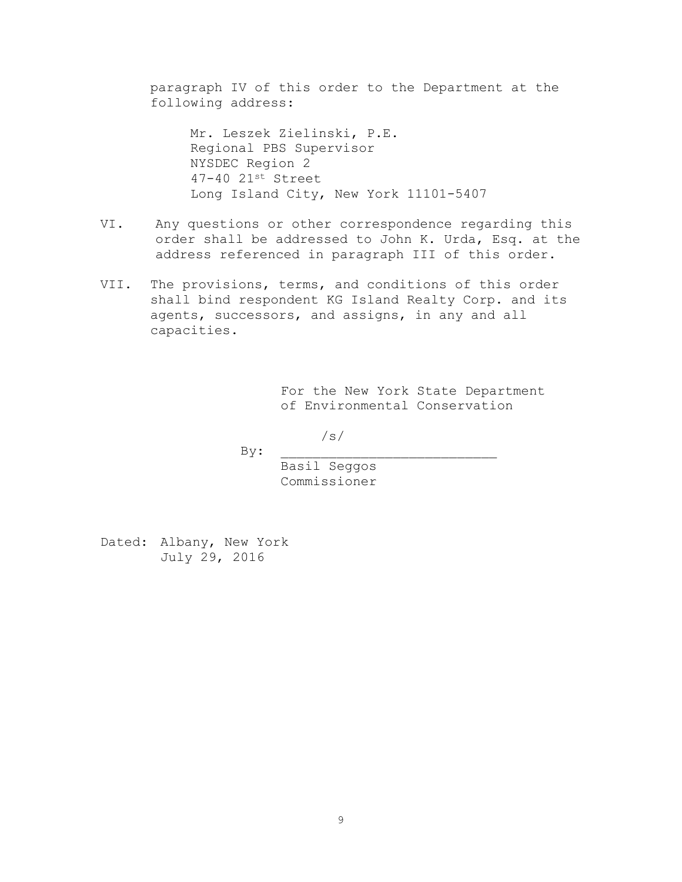paragraph IV of this order to the Department at the following address:

Mr. Leszek Zielinski, P.E. Regional PBS Supervisor NYSDEC Region 2 47-40 21st Street Long Island City, New York 11101-5407

- VI. Any questions or other correspondence regarding this order shall be addressed to John K. Urda, Esq. at the address referenced in paragraph III of this order.
- VII. The provisions, terms, and conditions of this order shall bind respondent KG Island Realty Corp. and its agents, successors, and assigns, in any and all capacities.

For the New York State Department of Environmental Conservation

/s/

 $By:$ 

Basil Seggos Commissioner

Dated: Albany, New York July 29, 2016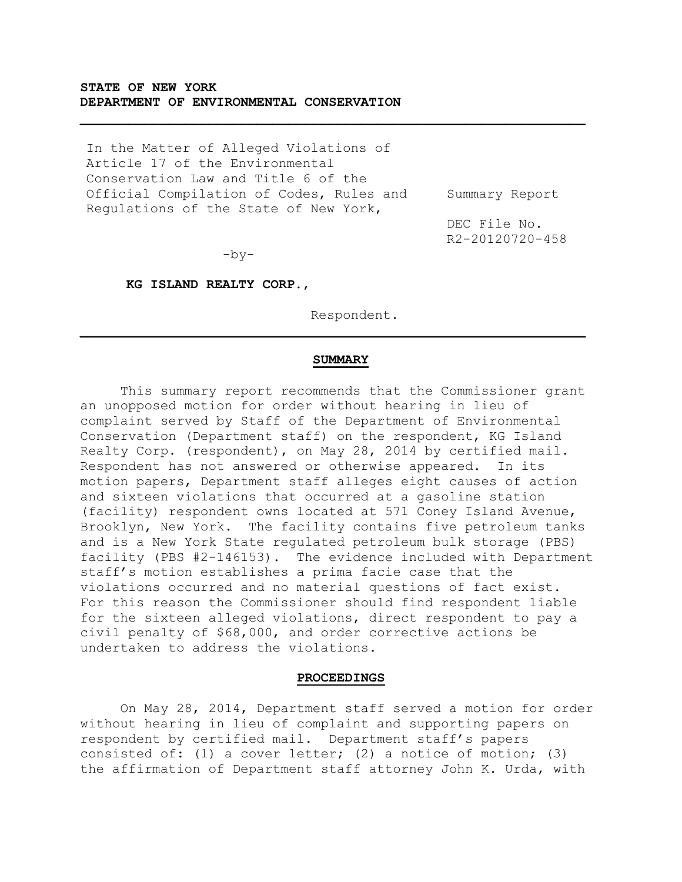# **STATE OF NEW YORK DEPARTMENT OF ENVIRONMENTAL CONSERVATION**

In the Matter of Alleged Violations of Article 17 of the Environmental Conservation Law and Title 6 of the Official Compilation of Codes, Rules and Regulations of the State of New York,

Summary Report

DEC File No. R2-20120720-458

 $-by-$ 

**KG ISLAND REALTY CORP.**,

Respondent.

#### **SUMMARY**

 $\mathcal{L}_\mathcal{L} = \{ \mathcal{L}_\mathcal{L} = \{ \mathcal{L}_\mathcal{L} = \{ \mathcal{L}_\mathcal{L} = \{ \mathcal{L}_\mathcal{L} = \{ \mathcal{L}_\mathcal{L} = \{ \mathcal{L}_\mathcal{L} = \{ \mathcal{L}_\mathcal{L} = \{ \mathcal{L}_\mathcal{L} = \{ \mathcal{L}_\mathcal{L} = \{ \mathcal{L}_\mathcal{L} = \{ \mathcal{L}_\mathcal{L} = \{ \mathcal{L}_\mathcal{L} = \{ \mathcal{L}_\mathcal{L} = \{ \mathcal{L}_\mathcal{$ 

This summary report recommends that the Commissioner grant an unopposed motion for order without hearing in lieu of complaint served by Staff of the Department of Environmental Conservation (Department staff) on the respondent, KG Island Realty Corp. (respondent), on May 28, 2014 by certified mail. Respondent has not answered or otherwise appeared. In its motion papers, Department staff alleges eight causes of action and sixteen violations that occurred at a gasoline station (facility) respondent owns located at 571 Coney Island Avenue, Brooklyn, New York. The facility contains five petroleum tanks and is a New York State regulated petroleum bulk storage (PBS) facility (PBS #2-146153). The evidence included with Department staff's motion establishes a prima facie case that the violations occurred and no material questions of fact exist. For this reason the Commissioner should find respondent liable for the sixteen alleged violations, direct respondent to pay a civil penalty of \$68,000, and order corrective actions be undertaken to address the violations.

#### **PROCEEDINGS**

On May 28, 2014, Department staff served a motion for order without hearing in lieu of complaint and supporting papers on respondent by certified mail. Department staff's papers consisted of: (1) a cover letter; (2) a notice of motion; (3) the affirmation of Department staff attorney John K. Urda, with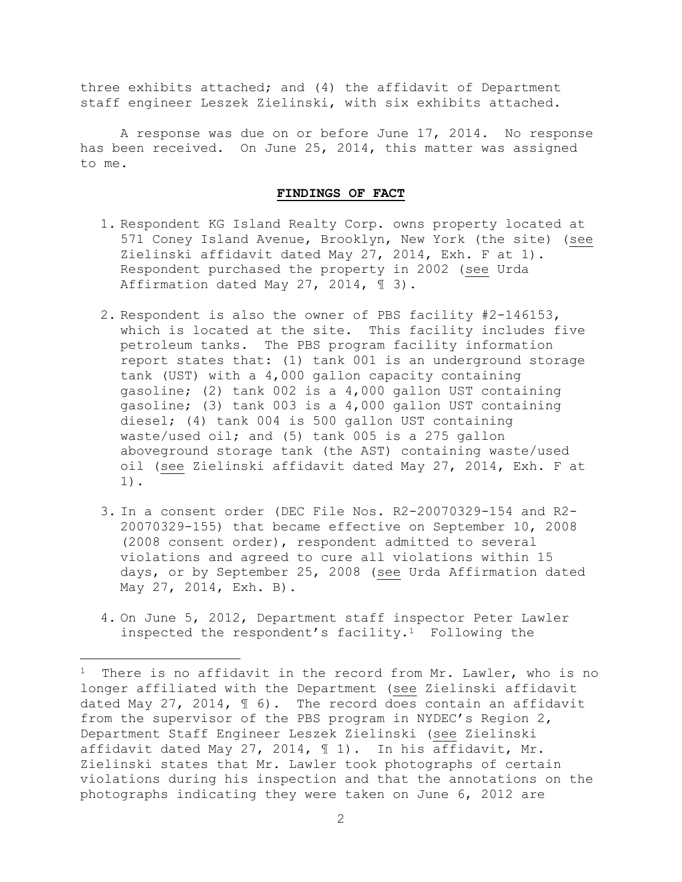three exhibits attached; and (4) the affidavit of Department staff engineer Leszek Zielinski, with six exhibits attached.

A response was due on or before June 17, 2014. No response has been received. On June 25, 2014, this matter was assigned to me.

#### **FINDINGS OF FACT**

- 1. Respondent KG Island Realty Corp. owns property located at 571 Coney Island Avenue, Brooklyn, New York (the site) (see Zielinski affidavit dated May 27, 2014, Exh. F at 1). Respondent purchased the property in 2002 (see Urda Affirmation dated May 27, 2014, ¶ 3).
- 2. Respondent is also the owner of PBS facility #2-146153, which is located at the site. This facility includes five petroleum tanks. The PBS program facility information report states that: (1) tank 001 is an underground storage tank (UST) with a 4,000 gallon capacity containing gasoline; (2) tank 002 is a 4,000 gallon UST containing gasoline; (3) tank 003 is a 4,000 gallon UST containing diesel; (4) tank 004 is 500 gallon UST containing waste/used oil; and (5) tank 005 is a 275 gallon aboveground storage tank (the AST) containing waste/used oil (see Zielinski affidavit dated May 27, 2014, Exh. F at 1).
- 3. In a consent order (DEC File Nos. R2-20070329-154 and R2- 20070329-155) that became effective on September 10, 2008 (2008 consent order), respondent admitted to several violations and agreed to cure all violations within 15 days, or by September 25, 2008 (see Urda Affirmation dated May 27, 2014, Exh. B).
- 4. On June 5, 2012, Department staff inspector Peter Lawler inspected the respondent's facility.<sup>1</sup> Following the

<sup>&</sup>lt;sup>1</sup> There is no affidavit in the record from Mr. Lawler, who is no longer affiliated with the Department (see Zielinski affidavit dated May 27, 2014,  $\text{\textsterling}$  6). The record does contain an affidavit from the supervisor of the PBS program in NYDEC's Region 2, Department Staff Engineer Leszek Zielinski (see Zielinski affidavit dated May 27, 2014, ¶ 1). In his affidavit, Mr. Zielinski states that Mr. Lawler took photographs of certain violations during his inspection and that the annotations on the photographs indicating they were taken on June 6, 2012 are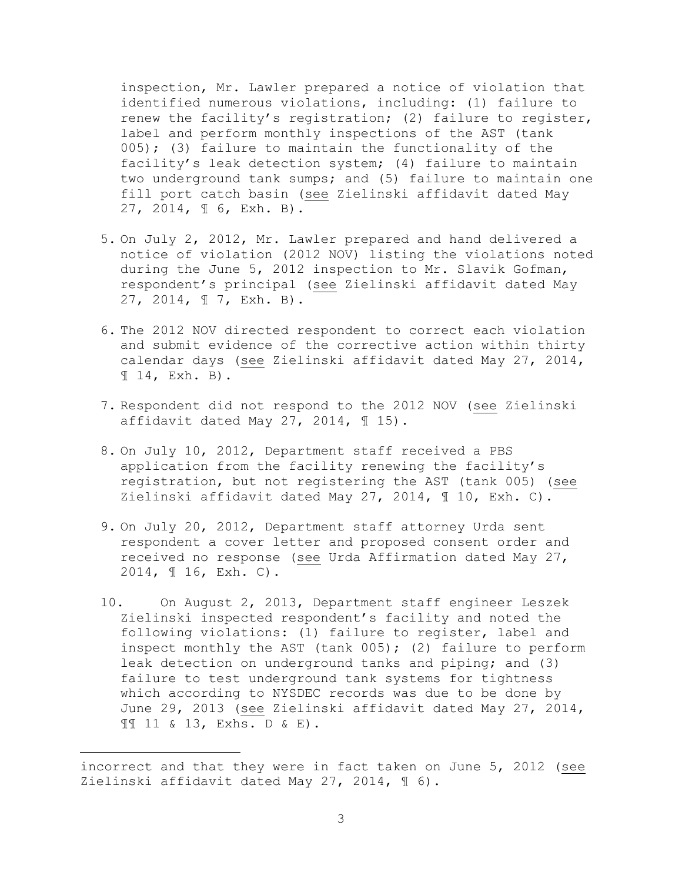inspection, Mr. Lawler prepared a notice of violation that identified numerous violations, including: (1) failure to renew the facility's registration; (2) failure to register, label and perform monthly inspections of the AST (tank  $005$ ); (3) failure to maintain the functionality of the facility's leak detection system; (4) failure to maintain two underground tank sumps; and (5) failure to maintain one fill port catch basin (see Zielinski affidavit dated May 27, 2014, ¶ 6, Exh. B).

- 5. On July 2, 2012, Mr. Lawler prepared and hand delivered a notice of violation (2012 NOV) listing the violations noted during the June 5, 2012 inspection to Mr. Slavik Gofman, respondent's principal (see Zielinski affidavit dated May 27, 2014, ¶ 7, Exh. B).
- 6. The 2012 NOV directed respondent to correct each violation and submit evidence of the corrective action within thirty calendar days (see Zielinski affidavit dated May 27, 2014, ¶ 14, Exh. B).
- 7. Respondent did not respond to the 2012 NOV (see Zielinski affidavit dated May 27, 2014,  $\text{\textsterling}$  15).
- 8. On July 10, 2012, Department staff received a PBS application from the facility renewing the facility's registration, but not registering the AST (tank 005) (see Zielinski affidavit dated May 27, 2014, ¶ 10, Exh. C).
- 9. On July 20, 2012, Department staff attorney Urda sent respondent a cover letter and proposed consent order and received no response (see Urda Affirmation dated May 27, 2014, ¶ 16, Exh. C).
- 10. On August 2, 2013, Department staff engineer Leszek Zielinski inspected respondent's facility and noted the following violations: (1) failure to register, label and inspect monthly the AST (tank  $005$ ); (2) failure to perform leak detection on underground tanks and piping; and (3) failure to test underground tank systems for tightness which according to NYSDEC records was due to be done by June 29, 2013 (see Zielinski affidavit dated May 27, 2014, ¶¶ 11 & 13, Exhs. D & E).

incorrect and that they were in fact taken on June 5, 2012 (see Zielinski affidavit dated May 27, 2014,  $\text{\textsterling}$  6).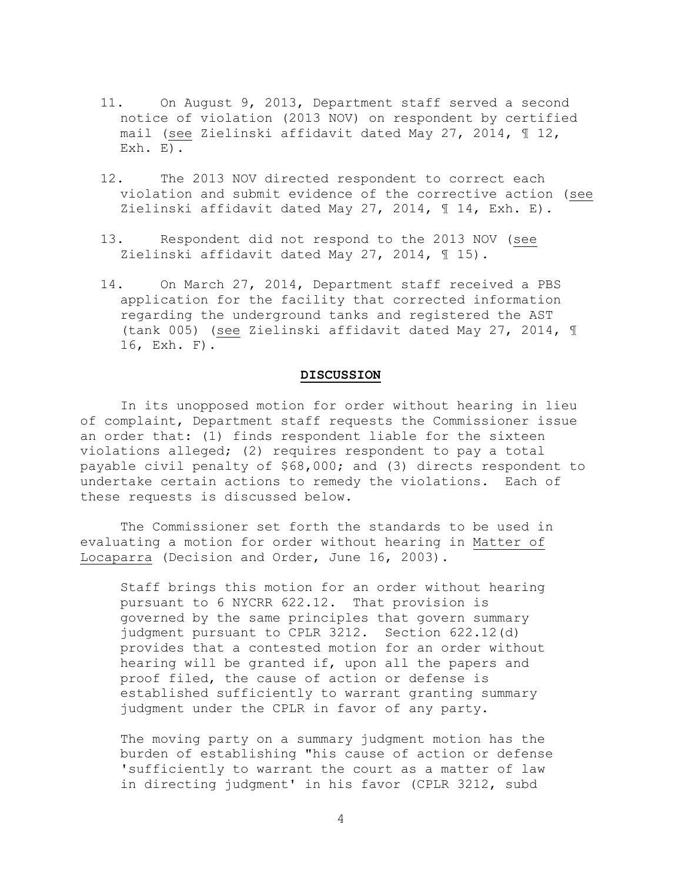- 11. On August 9, 2013, Department staff served a second notice of violation (2013 NOV) on respondent by certified mail (see Zielinski affidavit dated May 27, 2014, ¶ 12, Exh. E).
- 12. The 2013 NOV directed respondent to correct each violation and submit evidence of the corrective action (see Zielinski affidavit dated May 27, 2014, ¶ 14, Exh. E).
- 13. Respondent did not respond to the 2013 NOV (see Zielinski affidavit dated May 27, 2014, ¶ 15).
- 14. On March 27, 2014, Department staff received a PBS application for the facility that corrected information regarding the underground tanks and registered the AST (tank 005) (see Zielinski affidavit dated May 27, 2014, ¶ 16, Exh. F).

## **DISCUSSION**

In its unopposed motion for order without hearing in lieu of complaint, Department staff requests the Commissioner issue an order that: (1) finds respondent liable for the sixteen violations alleged; (2) requires respondent to pay a total payable civil penalty of \$68,000; and (3) directs respondent to undertake certain actions to remedy the violations. Each of these requests is discussed below.

The Commissioner set forth the standards to be used in evaluating a motion for order without hearing in Matter of Locaparra (Decision and Order, June 16, 2003).

Staff brings this motion for an order without hearing pursuant to 6 NYCRR 622.12. That provision is governed by the same principles that govern summary judgment pursuant to CPLR 3212. Section 622.12(d) provides that a contested motion for an order without hearing will be granted if, upon all the papers and proof filed, the cause of action or defense is established sufficiently to warrant granting summary judgment under the CPLR in favor of any party.

The moving party on a summary judgment motion has the burden of establishing "his cause of action or defense 'sufficiently to warrant the court as a matter of law in directing judgment' in his favor (CPLR 3212, subd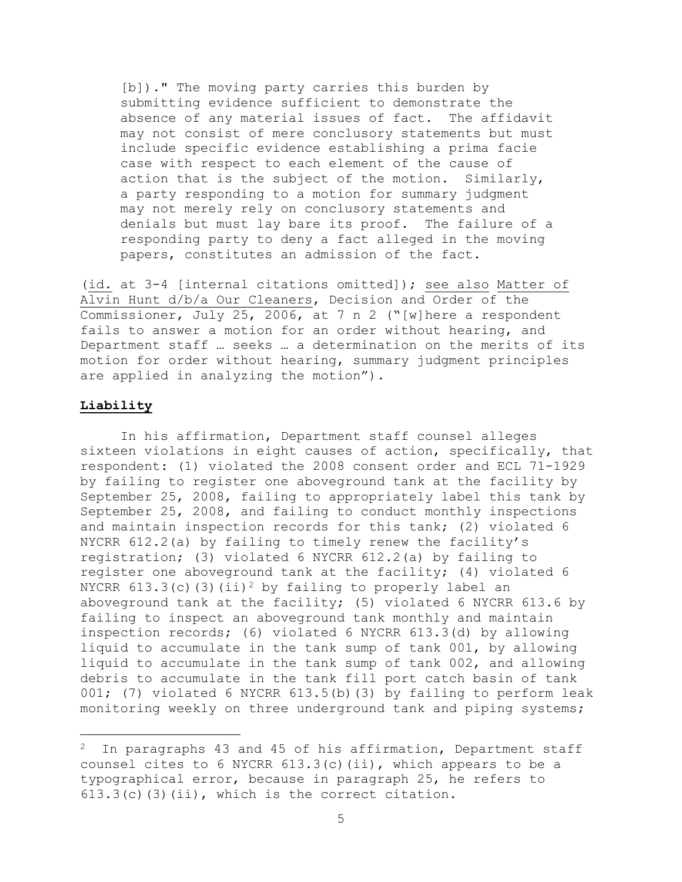[b])." The moving party carries this burden by submitting evidence sufficient to demonstrate the absence of any material issues of fact. The affidavit may not consist of mere conclusory statements but must include specific evidence establishing a prima facie case with respect to each element of the cause of action that is the subject of the motion. Similarly, a party responding to a motion for summary judgment may not merely rely on conclusory statements and denials but must lay bare its proof. The failure of a responding party to deny a fact alleged in the moving papers, constitutes an admission of the fact.

(id. at 3-4 [internal citations omitted]); see also Matter of Alvin Hunt d/b/a Our Cleaners, Decision and Order of the Commissioner, July 25, 2006, at 7 n 2 ("[w]here a respondent fails to answer a motion for an order without hearing, and Department staff … seeks … a determination on the merits of its motion for order without hearing, summary judgment principles are applied in analyzing the motion").

#### **Liability**

 $\overline{a}$ 

In his affirmation, Department staff counsel alleges sixteen violations in eight causes of action, specifically, that respondent: (1) violated the 2008 consent order and ECL 71-1929 by failing to register one aboveground tank at the facility by September 25, 2008, failing to appropriately label this tank by September 25, 2008, and failing to conduct monthly inspections and maintain inspection records for this tank; (2) violated 6 NYCRR 612.2(a) by failing to timely renew the facility's registration; (3) violated 6 NYCRR 612.2(a) by failing to register one aboveground tank at the facility; (4) violated 6 NYCRR 613.3(c)(3)(ii)<sup>2</sup> by failing to properly label an aboveground tank at the facility; (5) violated 6 NYCRR 613.6 by failing to inspect an aboveground tank monthly and maintain inspection records; (6) violated 6 NYCRR 613.3(d) by allowing liquid to accumulate in the tank sump of tank 001, by allowing liquid to accumulate in the tank sump of tank 002, and allowing debris to accumulate in the tank fill port catch basin of tank 001; (7) violated 6 NYCRR 613.5(b)(3) by failing to perform leak monitoring weekly on three underground tank and piping systems;

In paragraphs 43 and 45 of his affirmation, Department staff counsel cites to 6 NYCRR 613.3(c)(ii), which appears to be a typographical error, because in paragraph 25, he refers to  $613.3(c)$  (3)(ii), which is the correct citation.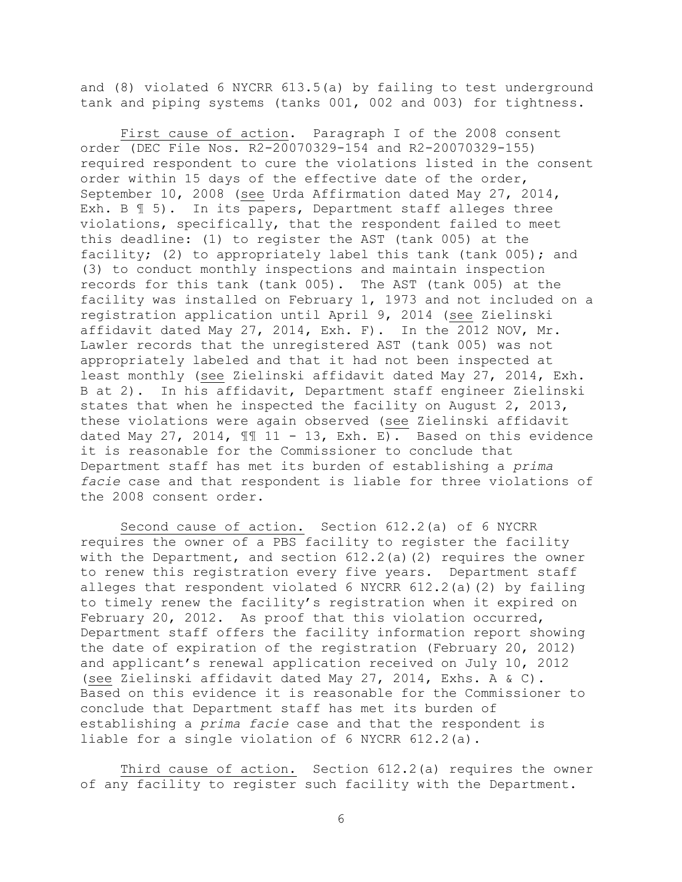and (8) violated 6 NYCRR 613.5(a) by failing to test underground tank and piping systems (tanks 001, 002 and 003) for tightness.

First cause of action. Paragraph I of the 2008 consent order (DEC File Nos. R2-20070329-154 and R2-20070329-155) required respondent to cure the violations listed in the consent order within 15 days of the effective date of the order, September 10, 2008 (see Urda Affirmation dated May 27, 2014, Exh. B ¶ 5). In its papers, Department staff alleges three violations, specifically, that the respondent failed to meet this deadline: (1) to register the AST (tank 005) at the facility; (2) to appropriately label this tank (tank 005); and (3) to conduct monthly inspections and maintain inspection records for this tank (tank 005). The AST (tank 005) at the facility was installed on February 1, 1973 and not included on a registration application until April 9, 2014 (see Zielinski affidavit dated May 27, 2014, Exh. F). In the 2012 NOV, Mr. Lawler records that the unregistered AST (tank 005) was not appropriately labeled and that it had not been inspected at least monthly (see Zielinski affidavit dated May 27, 2014, Exh. B at 2). In his affidavit, Department staff engineer Zielinski states that when he inspected the facility on August 2, 2013, these violations were again observed (see Zielinski affidavit dated May 27, 2014,  $\mathbb{I}$  11 - 13, Exh. E). Based on this evidence it is reasonable for the Commissioner to conclude that Department staff has met its burden of establishing a *prima facie* case and that respondent is liable for three violations of the 2008 consent order.

Second cause of action. Section 612.2(a) of 6 NYCRR requires the owner of a PBS facility to register the facility with the Department, and section 612.2(a)(2) requires the owner to renew this registration every five years. Department staff alleges that respondent violated 6 NYCRR 612.2(a)(2) by failing to timely renew the facility's registration when it expired on February 20, 2012. As proof that this violation occurred, Department staff offers the facility information report showing the date of expiration of the registration (February 20, 2012) and applicant's renewal application received on July 10, 2012 (see Zielinski affidavit dated May 27, 2014, Exhs. A & C). Based on this evidence it is reasonable for the Commissioner to conclude that Department staff has met its burden of establishing a *prima facie* case and that the respondent is liable for a single violation of 6 NYCRR 612.2(a).

Third cause of action. Section 612.2(a) requires the owner of any facility to register such facility with the Department.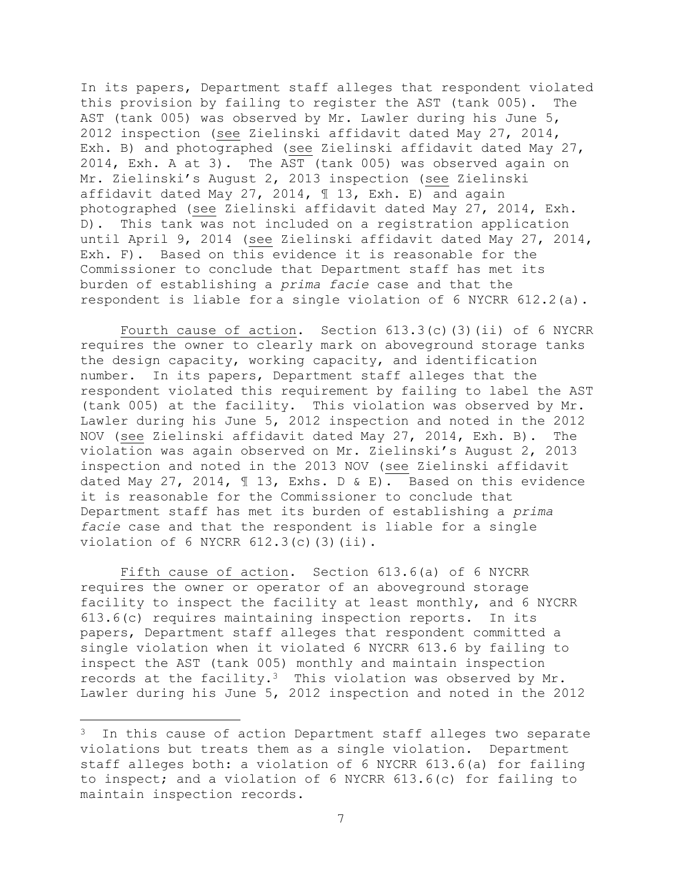In its papers, Department staff alleges that respondent violated this provision by failing to register the AST (tank 005). The AST (tank 005) was observed by Mr. Lawler during his June 5, 2012 inspection (see Zielinski affidavit dated May 27, 2014, Exh. B) and photographed (see Zielinski affidavit dated May 27, 2014, Exh. A at 3). The AST (tank 005) was observed again on Mr. Zielinski's August 2, 2013 inspection (see Zielinski affidavit dated May 27, 2014, ¶ 13, Exh. E) and again photographed (see Zielinski affidavit dated May 27, 2014, Exh. D). This tank was not included on a registration application until April 9, 2014 (see Zielinski affidavit dated May 27, 2014, Exh. F). Based on this evidence it is reasonable for the Commissioner to conclude that Department staff has met its burden of establishing a *prima facie* case and that the respondent is liable for a single violation of 6 NYCRR 612.2(a).

Fourth cause of action. Section 613.3(c)(3)(ii) of 6 NYCRR requires the owner to clearly mark on aboveground storage tanks the design capacity, working capacity, and identification number. In its papers, Department staff alleges that the respondent violated this requirement by failing to label the AST (tank 005) at the facility. This violation was observed by Mr. Lawler during his June 5, 2012 inspection and noted in the 2012 NOV (see Zielinski affidavit dated May 27, 2014, Exh. B). The violation was again observed on Mr. Zielinski's August 2, 2013 inspection and noted in the 2013 NOV (see Zielinski affidavit dated May 27, 2014, ¶ 13, Exhs. D & E). Based on this evidence it is reasonable for the Commissioner to conclude that Department staff has met its burden of establishing a *prima facie* case and that the respondent is liable for a single violation of  $6$  NYCRR  $612.3(c)$  (3)(ii).

Fifth cause of action. Section 613.6(a) of 6 NYCRR requires the owner or operator of an aboveground storage facility to inspect the facility at least monthly, and 6 NYCRR 613.6(c) requires maintaining inspection reports. In its papers, Department staff alleges that respondent committed a single violation when it violated 6 NYCRR 613.6 by failing to inspect the AST (tank 005) monthly and maintain inspection records at the facility.3 This violation was observed by Mr. Lawler during his June 5, 2012 inspection and noted in the 2012

<sup>&</sup>lt;sup>3</sup> In this cause of action Department staff alleges two separate violations but treats them as a single violation. Department staff alleges both: a violation of 6 NYCRR 613.6(a) for failing to inspect; and a violation of 6 NYCRR 613.6(c) for failing to maintain inspection records.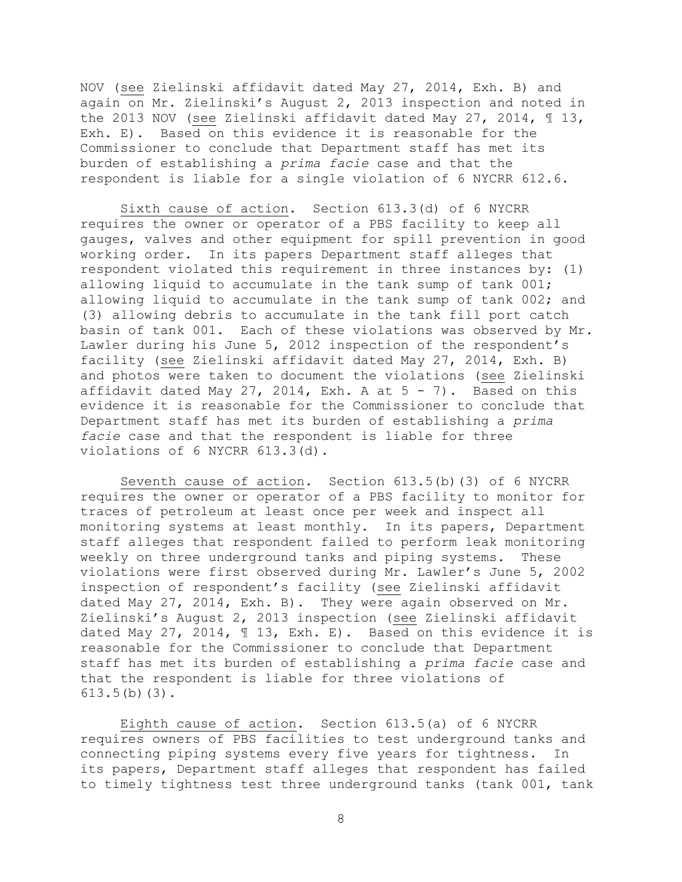NOV (see Zielinski affidavit dated May 27, 2014, Exh. B) and again on Mr. Zielinski's August 2, 2013 inspection and noted in the 2013 NOV (see Zielinski affidavit dated May 27, 2014, ¶ 13, Exh. E). Based on this evidence it is reasonable for the Commissioner to conclude that Department staff has met its burden of establishing a *prima facie* case and that the respondent is liable for a single violation of 6 NYCRR 612.6.

Sixth cause of action. Section 613.3(d) of 6 NYCRR requires the owner or operator of a PBS facility to keep all gauges, valves and other equipment for spill prevention in good working order. In its papers Department staff alleges that respondent violated this requirement in three instances by: (1) allowing liquid to accumulate in the tank sump of tank 001; allowing liquid to accumulate in the tank sump of tank 002; and (3) allowing debris to accumulate in the tank fill port catch basin of tank 001. Each of these violations was observed by Mr. Lawler during his June 5, 2012 inspection of the respondent's facility (see Zielinski affidavit dated May 27, 2014, Exh. B) and photos were taken to document the violations (see Zielinski affidavit dated May 27, 2014, Exh. A at  $5 - 7$ ). Based on this evidence it is reasonable for the Commissioner to conclude that Department staff has met its burden of establishing a *prima facie* case and that the respondent is liable for three violations of 6 NYCRR 613.3(d).

Seventh cause of action. Section 613.5(b)(3) of 6 NYCRR requires the owner or operator of a PBS facility to monitor for traces of petroleum at least once per week and inspect all monitoring systems at least monthly. In its papers, Department staff alleges that respondent failed to perform leak monitoring weekly on three underground tanks and piping systems. These violations were first observed during Mr. Lawler's June 5, 2002 inspection of respondent's facility (see Zielinski affidavit dated May 27, 2014, Exh. B). They were again observed on Mr. Zielinski's August 2, 2013 inspection (see Zielinski affidavit dated May 27, 2014, ¶ 13, Exh. E). Based on this evidence it is reasonable for the Commissioner to conclude that Department staff has met its burden of establishing a *prima facie* case and that the respondent is liable for three violations of 613.5(b)(3).

Eighth cause of action. Section 613.5(a) of 6 NYCRR requires owners of PBS facilities to test underground tanks and connecting piping systems every five years for tightness. In its papers, Department staff alleges that respondent has failed to timely tightness test three underground tanks (tank 001, tank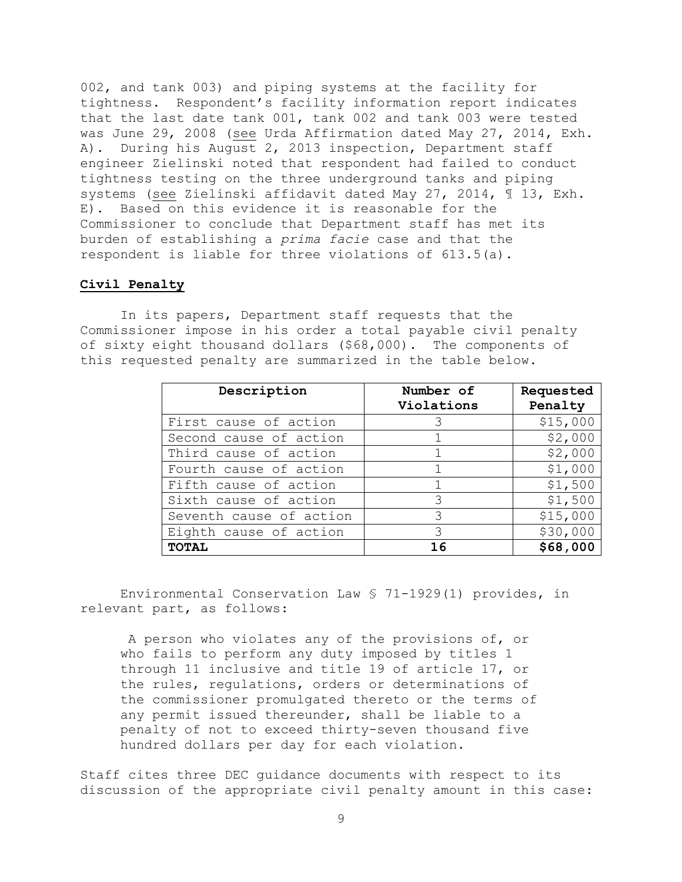002, and tank 003) and piping systems at the facility for tightness. Respondent's facility information report indicates that the last date tank 001, tank 002 and tank 003 were tested was June 29, 2008 (see Urda Affirmation dated May 27, 2014, Exh. A). During his August 2, 2013 inspection, Department staff engineer Zielinski noted that respondent had failed to conduct tightness testing on the three underground tanks and piping systems (see Zielinski affidavit dated May 27, 2014, ¶ 13, Exh. E). Based on this evidence it is reasonable for the Commissioner to conclude that Department staff has met its burden of establishing a *prima facie* case and that the respondent is liable for three violations of 613.5(a).

### **Civil Penalty**

In its papers, Department staff requests that the Commissioner impose in his order a total payable civil penalty of sixty eight thousand dollars (\$68,000). The components of this requested penalty are summarized in the table below.

| Description             | Number of<br>Violations | Requested<br>Penalty |
|-------------------------|-------------------------|----------------------|
| First cause of action   | 3                       | \$15,000             |
| Second cause of action  |                         | \$2,000              |
| Third cause of action   |                         | \$2,000              |
| Fourth cause of action  |                         | \$1,000              |
| Fifth cause of action   |                         | \$1,500              |
| Sixth cause of action   | 3                       | \$1,500              |
| Seventh cause of action | 3                       | \$15,000             |
| Eighth cause of action  | 3                       | \$30,000             |
| <b>TOTAL</b>            | 16                      | \$68,000             |

Environmental Conservation Law § 71-1929(1) provides, in relevant part, as follows:

A person who violates any of the provisions of, or who fails to perform any duty imposed by titles 1 through 11 inclusive and title 19 of article 17, or the rules, regulations, orders or determinations of the commissioner promulgated thereto or the terms of any permit issued thereunder, shall be liable to a penalty of not to exceed thirty-seven thousand five hundred dollars per day for each violation.

Staff cites three DEC guidance documents with respect to its discussion of the appropriate civil penalty amount in this case: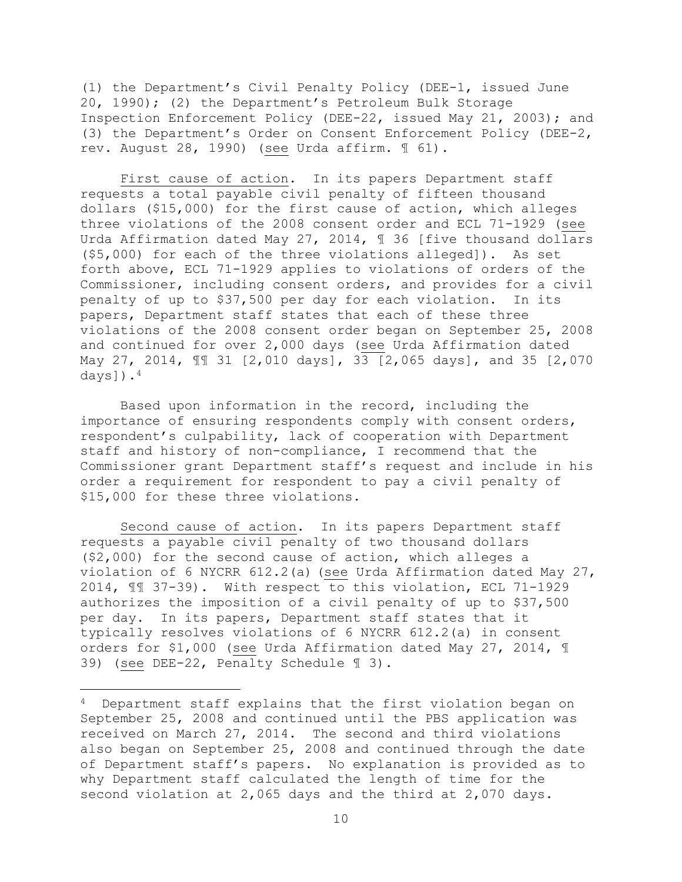(1) the Department's Civil Penalty Policy (DEE-1, issued June 20, 1990); (2) the Department's Petroleum Bulk Storage Inspection Enforcement Policy (DEE-22, issued May 21, 2003); and (3) the Department's Order on Consent Enforcement Policy (DEE-2, rev. August 28, 1990) (see Urda affirm. ¶ 61).

First cause of action. In its papers Department staff requests a total payable civil penalty of fifteen thousand dollars (\$15,000) for the first cause of action, which alleges three violations of the 2008 consent order and ECL 71-1929 (see Urda Affirmation dated May 27, 2014, 1 36 [five thousand dollars (\$5,000) for each of the three violations alleged]). As set forth above, ECL 71-1929 applies to violations of orders of the Commissioner, including consent orders, and provides for a civil penalty of up to \$37,500 per day for each violation. In its papers, Department staff states that each of these three violations of the 2008 consent order began on September 25, 2008 and continued for over 2,000 days (see Urda Affirmation dated May 27, 2014, ¶¶ 31 [2,010 days], 33 [2,065 days], and 35 [2,070 days]).<sup>4</sup>

Based upon information in the record, including the importance of ensuring respondents comply with consent orders, respondent's culpability, lack of cooperation with Department staff and history of non-compliance, I recommend that the Commissioner grant Department staff's request and include in his order a requirement for respondent to pay a civil penalty of \$15,000 for these three violations.

Second cause of action. In its papers Department staff requests a payable civil penalty of two thousand dollars (\$2,000) for the second cause of action, which alleges a violation of 6 NYCRR 612.2(a) (see Urda Affirmation dated May 27, 2014, ¶¶ 37-39). With respect to this violation, ECL 71-1929 authorizes the imposition of a civil penalty of up to \$37,500 per day. In its papers, Department staff states that it typically resolves violations of 6 NYCRR 612.2(a) in consent orders for \$1,000 (see Urda Affirmation dated May 27, 2014, ¶ 39) (see DEE-22, Penalty Schedule ¶ 3).

<sup>4</sup> Department staff explains that the first violation began on September 25, 2008 and continued until the PBS application was received on March 27, 2014. The second and third violations also began on September 25, 2008 and continued through the date of Department staff's papers. No explanation is provided as to why Department staff calculated the length of time for the second violation at 2,065 days and the third at 2,070 days.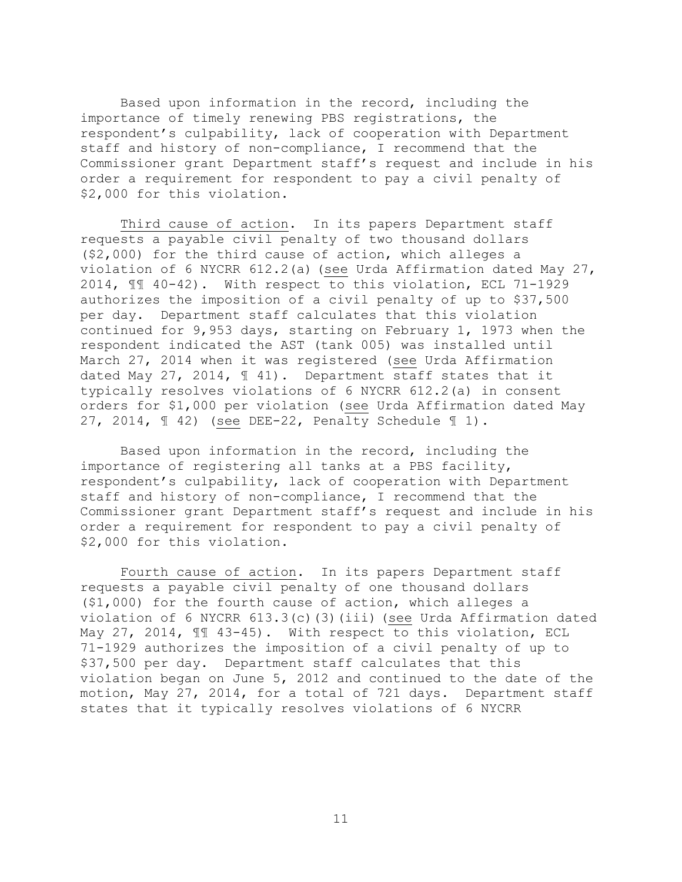Based upon information in the record, including the importance of timely renewing PBS registrations, the respondent's culpability, lack of cooperation with Department staff and history of non-compliance, I recommend that the Commissioner grant Department staff's request and include in his order a requirement for respondent to pay a civil penalty of \$2,000 for this violation.

Third cause of action. In its papers Department staff requests a payable civil penalty of two thousand dollars (\$2,000) for the third cause of action, which alleges a violation of 6 NYCRR 612.2(a) (see Urda Affirmation dated May 27, 2014, ¶¶ 40-42). With respect to this violation, ECL 71-1929 authorizes the imposition of a civil penalty of up to \$37,500 per day. Department staff calculates that this violation continued for 9,953 days, starting on February 1, 1973 when the respondent indicated the AST (tank 005) was installed until March 27, 2014 when it was registered (see Urda Affirmation dated May 27, 2014, ¶ 41). Department staff states that it typically resolves violations of 6 NYCRR 612.2(a) in consent orders for \$1,000 per violation (see Urda Affirmation dated May 27, 2014, ¶ 42) (see DEE-22, Penalty Schedule ¶ 1).

Based upon information in the record, including the importance of registering all tanks at a PBS facility, respondent's culpability, lack of cooperation with Department staff and history of non-compliance, I recommend that the Commissioner grant Department staff's request and include in his order a requirement for respondent to pay a civil penalty of \$2,000 for this violation.

Fourth cause of action. In its papers Department staff requests a payable civil penalty of one thousand dollars (\$1,000) for the fourth cause of action, which alleges a violation of 6 NYCRR 613.3(c)(3)(iii) (see Urda Affirmation dated May 27, 2014, ¶¶ 43-45). With respect to this violation, ECL 71-1929 authorizes the imposition of a civil penalty of up to \$37,500 per day. Department staff calculates that this violation began on June 5, 2012 and continued to the date of the motion, May 27, 2014, for a total of 721 days. Department staff states that it typically resolves violations of 6 NYCRR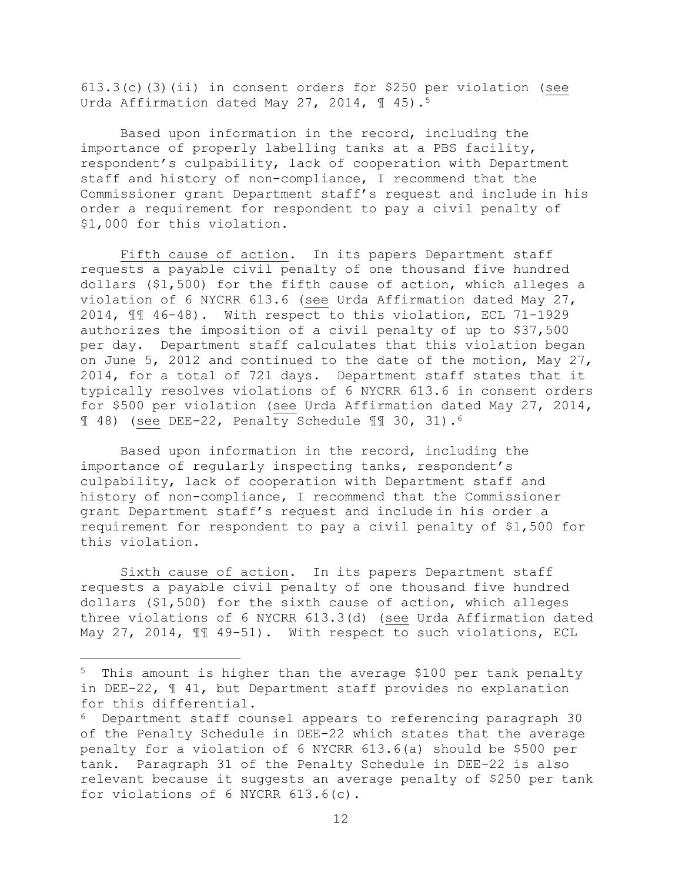613.3(c)(3)(ii) in consent orders for \$250 per violation (see Urda Affirmation dated May 27, 2014,  $\text{I}$  45).<sup>5</sup>

Based upon information in the record, including the importance of properly labelling tanks at a PBS facility, respondent's culpability, lack of cooperation with Department staff and history of non-compliance, I recommend that the Commissioner grant Department staff's request and include in his order a requirement for respondent to pay a civil penalty of \$1,000 for this violation.

Fifth cause of action. In its papers Department staff requests a payable civil penalty of one thousand five hundred dollars (\$1,500) for the fifth cause of action, which alleges a violation of 6 NYCRR 613.6 (see Urda Affirmation dated May 27, 2014, ¶¶ 46-48). With respect to this violation, ECL 71-1929 authorizes the imposition of a civil penalty of up to \$37,500 per day. Department staff calculates that this violation began on June 5, 2012 and continued to the date of the motion, May 27, 2014, for a total of 721 days. Department staff states that it typically resolves violations of 6 NYCRR 613.6 in consent orders for \$500 per violation (see Urda Affirmation dated May 27, 2014, ¶ 48) (see DEE-22, Penalty Schedule ¶¶ 30, 31).<sup>6</sup>

Based upon information in the record, including the importance of regularly inspecting tanks, respondent's culpability, lack of cooperation with Department staff and history of non-compliance, I recommend that the Commissioner grant Department staff's request and include in his order a requirement for respondent to pay a civil penalty of \$1,500 for this violation.

Sixth cause of action. In its papers Department staff requests a payable civil penalty of one thousand five hundred dollars (\$1,500) for the sixth cause of action, which alleges three violations of 6 NYCRR 613.3(d) (see Urda Affirmation dated May 27, 2014,  $\mathbb{II}$  49-51). With respect to such violations, ECL

<sup>5</sup> This amount is higher than the average \$100 per tank penalty in DEE-22, ¶ 41, but Department staff provides no explanation for this differential.

<sup>6</sup> Department staff counsel appears to referencing paragraph 30 of the Penalty Schedule in DEE-22 which states that the average penalty for a violation of 6 NYCRR 613.6(a) should be \$500 per tank. Paragraph 31 of the Penalty Schedule in DEE-22 is also relevant because it suggests an average penalty of \$250 per tank for violations of 6 NYCRR 613.6(c).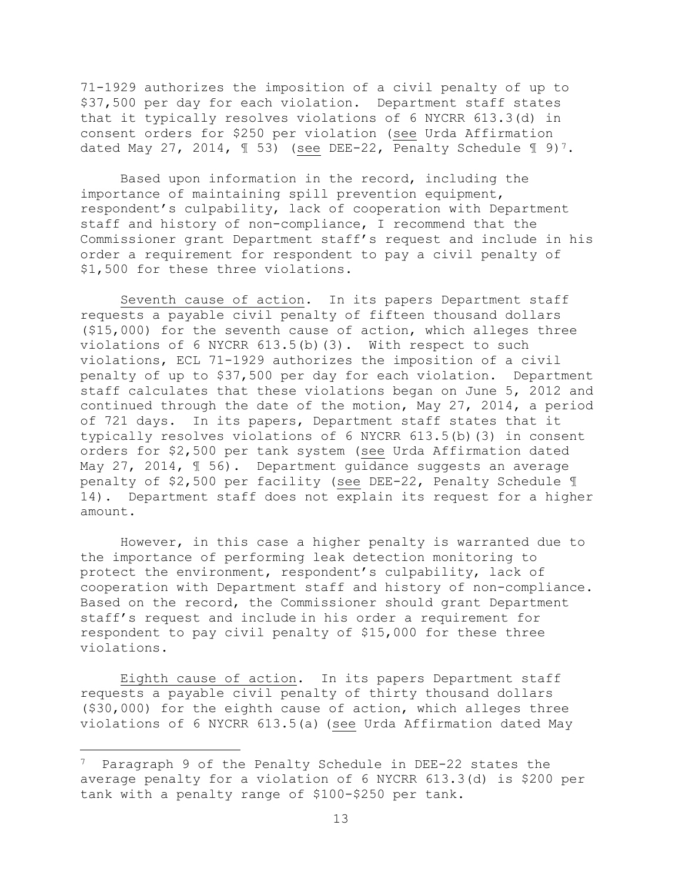71-1929 authorizes the imposition of a civil penalty of up to \$37,500 per day for each violation. Department staff states that it typically resolves violations of 6 NYCRR 613.3(d) in consent orders for \$250 per violation (see Urda Affirmation dated May 27, 2014,  $\text{\textsterling}$  53) (see DEE-22, Penalty Schedule  $\text{\textsterling}$  9)<sup>7</sup>.

Based upon information in the record, including the importance of maintaining spill prevention equipment, respondent's culpability, lack of cooperation with Department staff and history of non-compliance, I recommend that the Commissioner grant Department staff's request and include in his order a requirement for respondent to pay a civil penalty of \$1,500 for these three violations.

Seventh cause of action. In its papers Department staff requests a payable civil penalty of fifteen thousand dollars (\$15,000) for the seventh cause of action, which alleges three violations of 6 NYCRR  $613.5(b)(3)$ . With respect to such violations, ECL 71-1929 authorizes the imposition of a civil penalty of up to \$37,500 per day for each violation. Department staff calculates that these violations began on June 5, 2012 and continued through the date of the motion, May 27, 2014, a period of 721 days. In its papers, Department staff states that it typically resolves violations of 6 NYCRR 613.5(b)(3) in consent orders for \$2,500 per tank system (see Urda Affirmation dated May 27, 2014, ¶ 56). Department guidance suggests an average penalty of \$2,500 per facility (see DEE-22, Penalty Schedule ¶ 14). Department staff does not explain its request for a higher amount.

However, in this case a higher penalty is warranted due to the importance of performing leak detection monitoring to protect the environment, respondent's culpability, lack of cooperation with Department staff and history of non-compliance. Based on the record, the Commissioner should grant Department staff's request and include in his order a requirement for respondent to pay civil penalty of \$15,000 for these three violations.

Eighth cause of action. In its papers Department staff requests a payable civil penalty of thirty thousand dollars (\$30,000) for the eighth cause of action, which alleges three violations of 6 NYCRR 613.5(a) (see Urda Affirmation dated May

<sup>7</sup> Paragraph 9 of the Penalty Schedule in DEE-22 states the average penalty for a violation of 6 NYCRR 613.3(d) is \$200 per tank with a penalty range of \$100-\$250 per tank.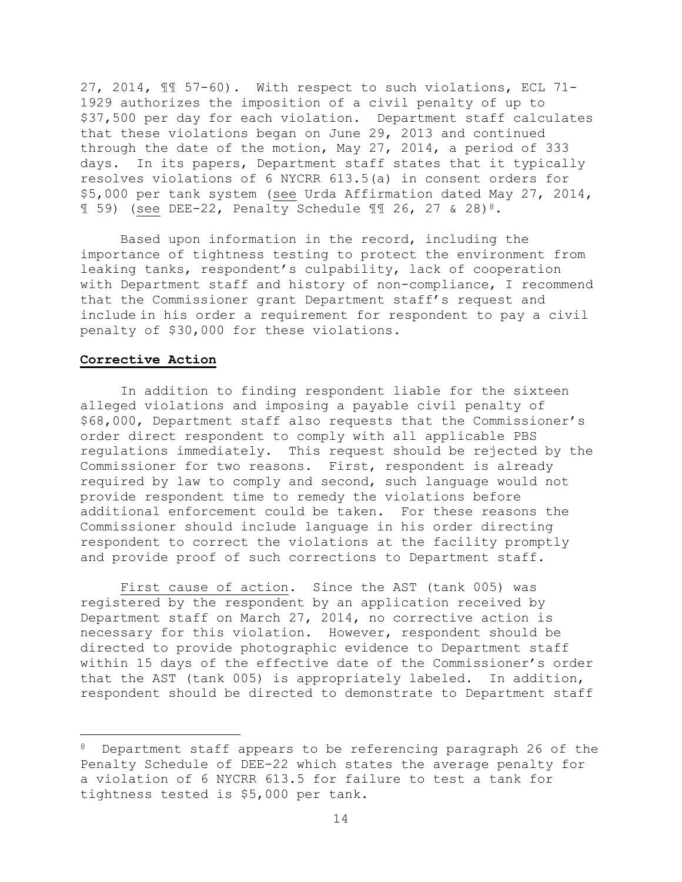27, 2014, ¶¶ 57-60). With respect to such violations, ECL 71- 1929 authorizes the imposition of a civil penalty of up to \$37,500 per day for each violation. Department staff calculates that these violations began on June 29, 2013 and continued through the date of the motion, May 27, 2014, a period of 333 days. In its papers, Department staff states that it typically resolves violations of 6 NYCRR 613.5(a) in consent orders for \$5,000 per tank system (see Urda Affirmation dated May 27, 2014,  $\text{I}$  59) (see DEE-22, Penalty Schedule  $\text{II}$  26, 27 & 28)<sup>8</sup>.

Based upon information in the record, including the importance of tightness testing to protect the environment from leaking tanks, respondent's culpability, lack of cooperation with Department staff and history of non-compliance, I recommend that the Commissioner grant Department staff's request and include in his order a requirement for respondent to pay a civil penalty of \$30,000 for these violations.

#### **Corrective Action**

 $\overline{a}$ 

In addition to finding respondent liable for the sixteen alleged violations and imposing a payable civil penalty of \$68,000, Department staff also requests that the Commissioner's order direct respondent to comply with all applicable PBS regulations immediately. This request should be rejected by the Commissioner for two reasons. First, respondent is already required by law to comply and second, such language would not provide respondent time to remedy the violations before additional enforcement could be taken. For these reasons the Commissioner should include language in his order directing respondent to correct the violations at the facility promptly and provide proof of such corrections to Department staff.

First cause of action. Since the AST (tank 005) was registered by the respondent by an application received by Department staff on March 27, 2014, no corrective action is necessary for this violation. However, respondent should be directed to provide photographic evidence to Department staff within 15 days of the effective date of the Commissioner's order that the AST (tank 005) is appropriately labeled. In addition, respondent should be directed to demonstrate to Department staff

<sup>8</sup> Department staff appears to be referencing paragraph 26 of the Penalty Schedule of DEE-22 which states the average penalty for a violation of 6 NYCRR 613.5 for failure to test a tank for tightness tested is \$5,000 per tank.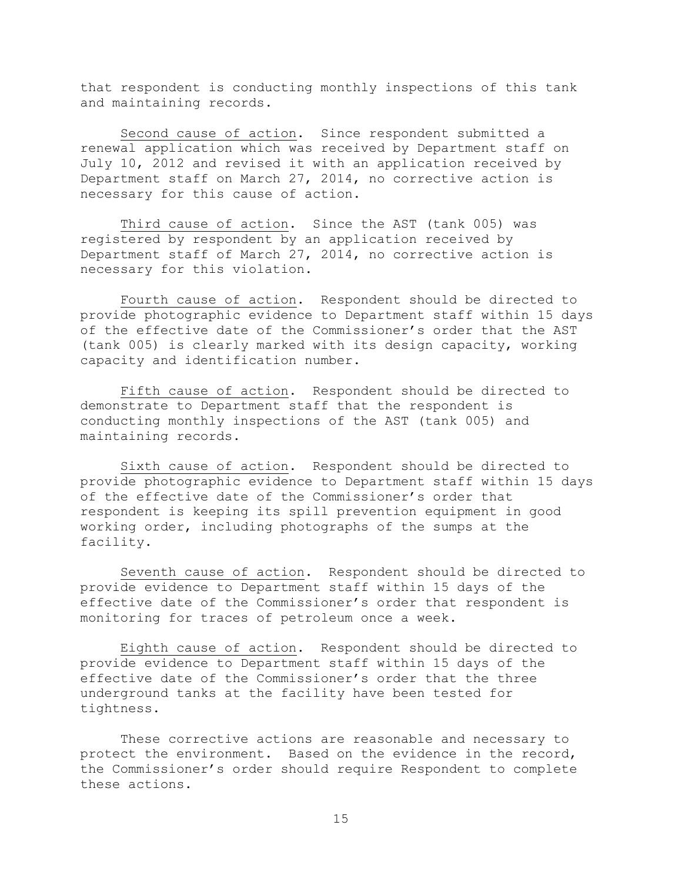that respondent is conducting monthly inspections of this tank and maintaining records.

Second cause of action. Since respondent submitted a renewal application which was received by Department staff on July 10, 2012 and revised it with an application received by Department staff on March 27, 2014, no corrective action is necessary for this cause of action.

Third cause of action. Since the AST (tank 005) was registered by respondent by an application received by Department staff of March 27, 2014, no corrective action is necessary for this violation.

Fourth cause of action. Respondent should be directed to provide photographic evidence to Department staff within 15 days of the effective date of the Commissioner's order that the AST (tank 005) is clearly marked with its design capacity, working capacity and identification number.

Fifth cause of action. Respondent should be directed to demonstrate to Department staff that the respondent is conducting monthly inspections of the AST (tank 005) and maintaining records.

Sixth cause of action. Respondent should be directed to provide photographic evidence to Department staff within 15 days of the effective date of the Commissioner's order that respondent is keeping its spill prevention equipment in good working order, including photographs of the sumps at the facility.

Seventh cause of action. Respondent should be directed to provide evidence to Department staff within 15 days of the effective date of the Commissioner's order that respondent is monitoring for traces of petroleum once a week.

Eighth cause of action. Respondent should be directed to provide evidence to Department staff within 15 days of the effective date of the Commissioner's order that the three underground tanks at the facility have been tested for tightness.

These corrective actions are reasonable and necessary to protect the environment. Based on the evidence in the record, the Commissioner's order should require Respondent to complete these actions.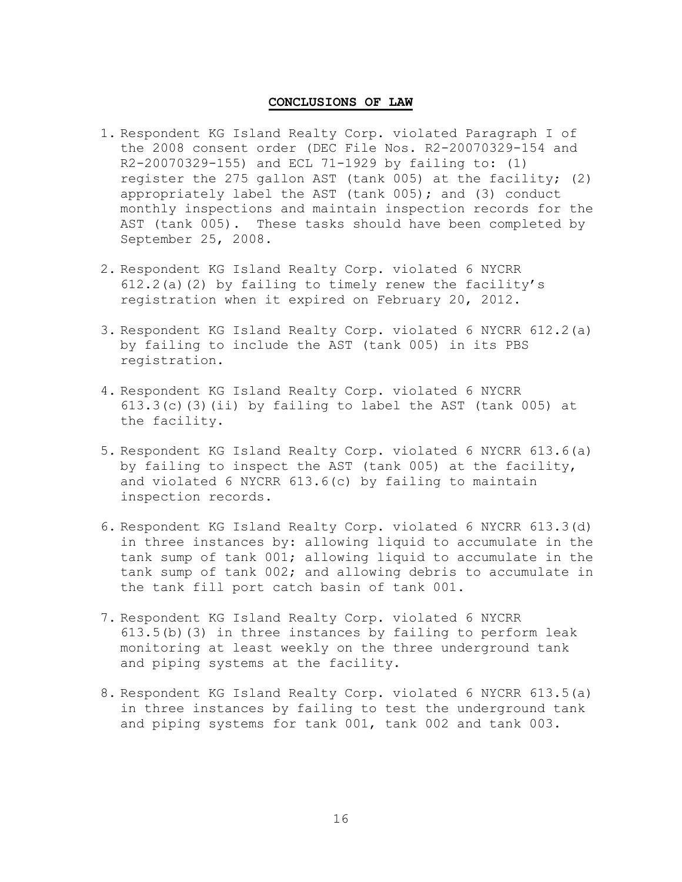#### **CONCLUSIONS OF LAW**

- 1. Respondent KG Island Realty Corp. violated Paragraph I of the 2008 consent order (DEC File Nos. R2-20070329-154 and R2-20070329-155) and ECL 71-1929 by failing to: (1) register the 275 gallon AST (tank 005) at the facility; (2) appropriately label the AST (tank 005); and (3) conduct monthly inspections and maintain inspection records for the AST (tank 005). These tasks should have been completed by September 25, 2008.
- 2. Respondent KG Island Realty Corp. violated 6 NYCRR  $612.2(a)(2)$  by failing to timely renew the facility's registration when it expired on February 20, 2012.
- 3. Respondent KG Island Realty Corp. violated 6 NYCRR 612.2(a) by failing to include the AST (tank 005) in its PBS registration.
- 4. Respondent KG Island Realty Corp. violated 6 NYCRR  $613.3(c)$  (3)(ii) by failing to label the AST (tank 005) at the facility.
- 5. Respondent KG Island Realty Corp. violated 6 NYCRR 613.6(a) by failing to inspect the AST (tank 005) at the facility, and violated 6 NYCRR 613.6(c) by failing to maintain inspection records.
- 6. Respondent KG Island Realty Corp. violated 6 NYCRR 613.3(d) in three instances by: allowing liquid to accumulate in the tank sump of tank 001; allowing liquid to accumulate in the tank sump of tank 002; and allowing debris to accumulate in the tank fill port catch basin of tank 001.
- 7. Respondent KG Island Realty Corp. violated 6 NYCRR 613.5(b)(3) in three instances by failing to perform leak monitoring at least weekly on the three underground tank and piping systems at the facility.
- 8. Respondent KG Island Realty Corp. violated 6 NYCRR 613.5(a) in three instances by failing to test the underground tank and piping systems for tank 001, tank 002 and tank 003.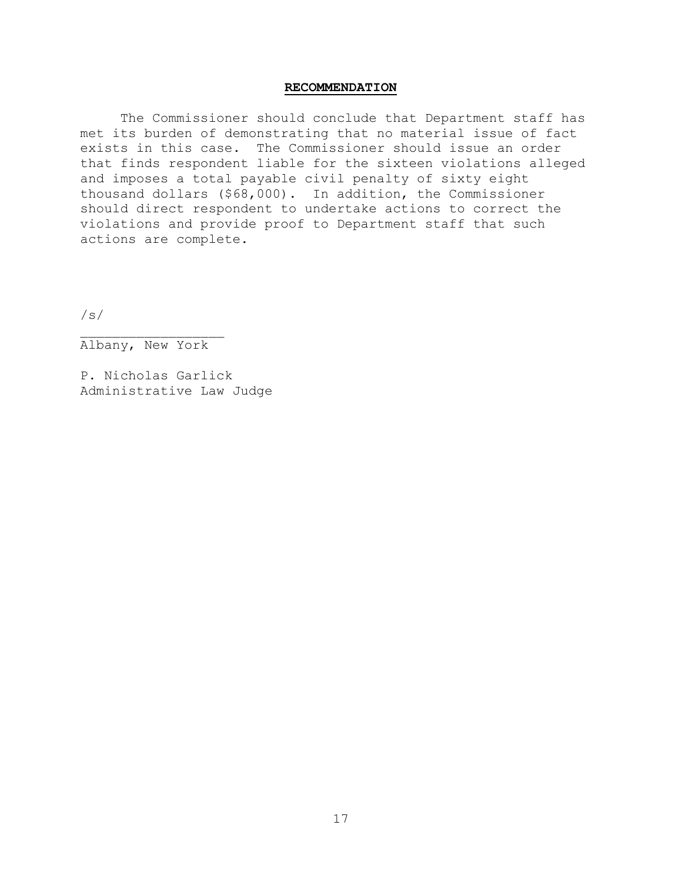#### **RECOMMENDATION**

The Commissioner should conclude that Department staff has met its burden of demonstrating that no material issue of fact exists in this case. The Commissioner should issue an order that finds respondent liable for the sixteen violations alleged and imposes a total payable civil penalty of sixty eight thousand dollars (\$68,000). In addition, the Commissioner should direct respondent to undertake actions to correct the violations and provide proof to Department staff that such actions are complete.

/s/

Albany, New York

P. Nicholas Garlick Administrative Law Judge